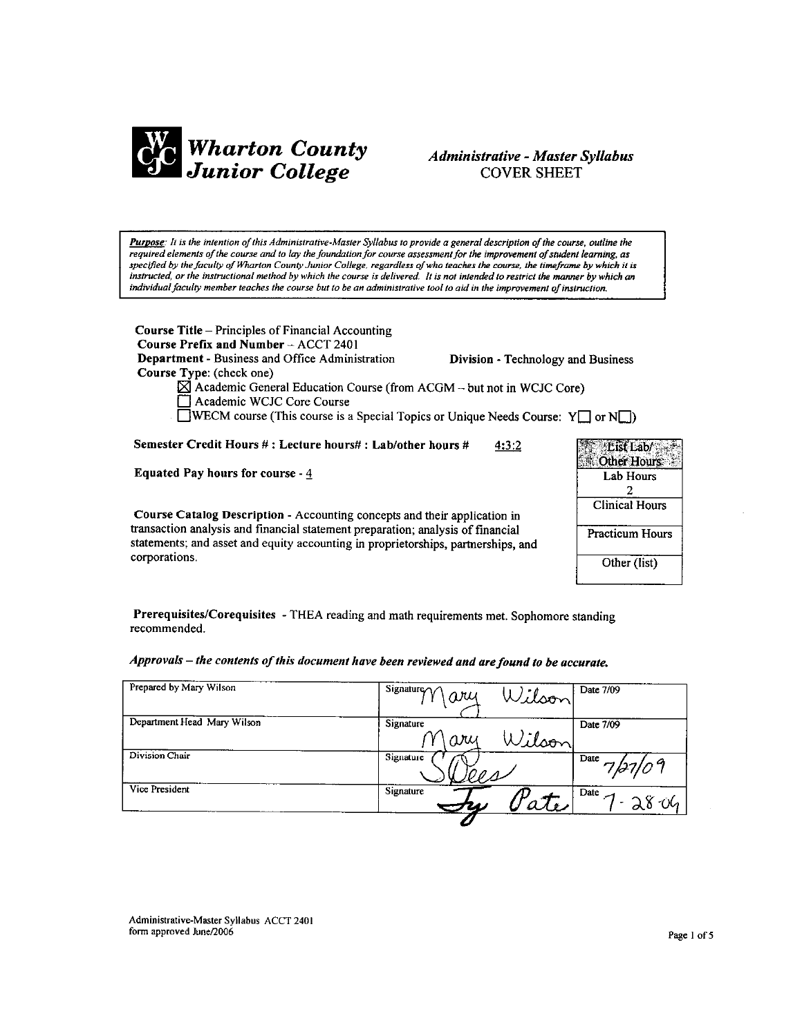

## **Administrative - Master Syllabus COVER SHEET**

Purpose: It is the intention of this Administrative-Master Syllabus to provide a general description of the course, outline the required elements of the course and to lay the foundation for course assessment for the improvement of student learning, as specified by the faculty of Wharton County Junior College, regardless of who teaches the course, the timeframe by which it is instructed, or the instructional method by which the course is delivered. It is not intended to restrict the manner by which an individual faculty member teaches the course but to be an administrative tool to aid in the improvement of instruction.

**Course Title – Principles of Financial Accounting** Course Prefix and Number - ACCT 2401 Department - Business and Office Administration Division - Technology and Business Course Type: (check one)  $\boxtimes$  Academic General Education Course (from ACGM -- but not in WCJC Core) Academic WCJC Core Course **EVECM** course (This course is a Special Topics or Unique Needs Course:  $Y \square$  or  $N \square$ ) Semester Credit Hours #: Lecture hours#: Lab/other hours #  $4:3:2$ **Equated Pay hours for course -**  $\frac{4}{5}$ Course Catalog Description - Accounting concepts and their application in transaction analysis and financial statement preparation; analysis of financial

statements; and asset and equity accounting in proprietorships, partnerships, and corporations.

| Eist Lab/<br>ther Hour |
|------------------------|
| Lab Hours              |
| 2                      |
| <b>Clinical Hours</b>  |
| <b>Practicum Hours</b> |
| Other (list)           |

Prerequisites/Corequisites - THEA reading and math requirements met. Sophomore standing recommended.

Approvals - the contents of this document have been reviewed and are found to be accurate.

| Prepared by Mary Wilson     | Signature $\gamma\gamma$<br>Wilson<br>ari | Date 7/09                                 |
|-----------------------------|-------------------------------------------|-------------------------------------------|
| Department Head Mary Wilson | Signature<br>Wilson<br>ary                | Date 7/09                                 |
| Division Chair              | Signature                                 | Date<br>7/27/09                           |
| Vice President              | Signature                                 | $\overline{D}$ ate $\overline{A}$<br>2804 |

Administrative-Master Syllabus ACCT 2401 form approved June/2006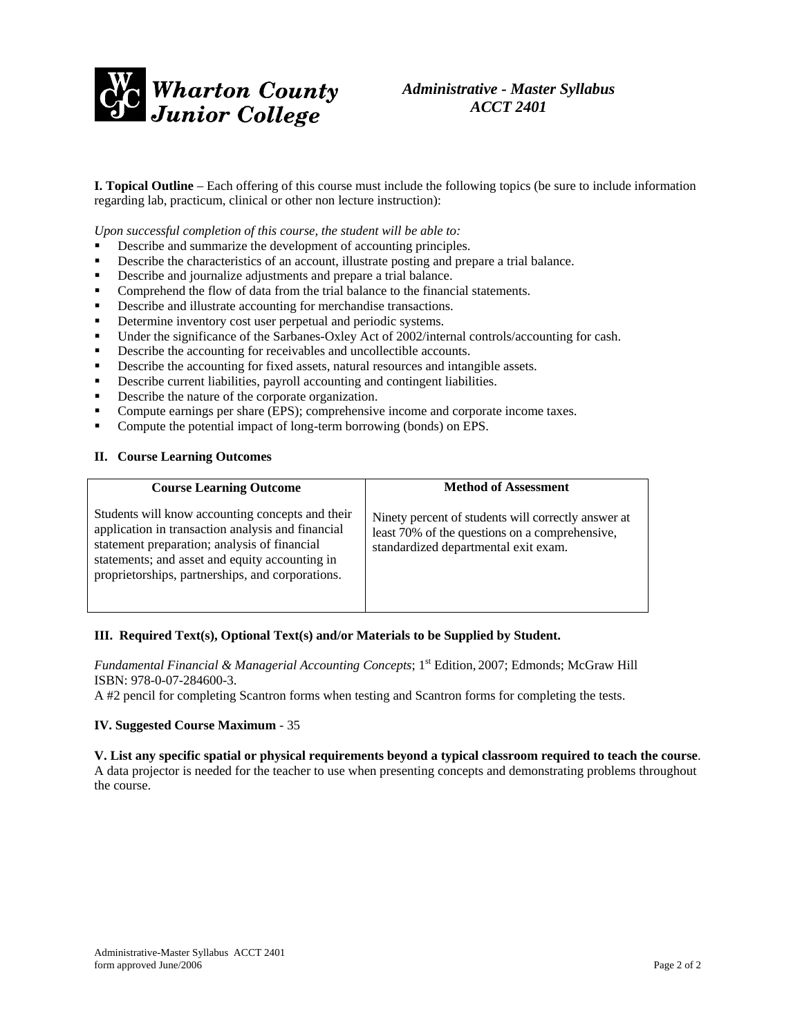

*Administrative - Master Syllabus ACCT 2401* 

**I. Topical Outline** – Each offering of this course must include the following topics (be sure to include information regarding lab, practicum, clinical or other non lecture instruction):

*Upon successful completion of this course, the student will be able to:* 

- Describe and summarize the development of accounting principles.
- Describe the characteristics of an account, illustrate posting and prepare a trial balance.
- Describe and journalize adjustments and prepare a trial balance.
- Comprehend the flow of data from the trial balance to the financial statements.
- Describe and illustrate accounting for merchandise transactions.
- Determine inventory cost user perpetual and periodic systems.
- Under the significance of the Sarbanes-Oxley Act of 2002/internal controls/accounting for cash.
- Describe the accounting for receivables and uncollectible accounts.
- Describe the accounting for fixed assets, natural resources and intangible assets.
- Describe current liabilities, payroll accounting and contingent liabilities.
- Describe the nature of the corporate organization.
- Compute earnings per share (EPS); comprehensive income and corporate income taxes.
- Compute the potential impact of long-term borrowing (bonds) on EPS.

#### **II. Course Learning Outcomes**

| <b>Course Learning Outcome</b>                                                                                                                                                                                                                              | <b>Method of Assessment</b>                                                                                                                   |
|-------------------------------------------------------------------------------------------------------------------------------------------------------------------------------------------------------------------------------------------------------------|-----------------------------------------------------------------------------------------------------------------------------------------------|
| Students will know accounting concepts and their<br>application in transaction analysis and financial<br>statement preparation; analysis of financial<br>statements; and asset and equity accounting in<br>proprietorships, partnerships, and corporations. | Ninety percent of students will correctly answer at<br>least 70% of the questions on a comprehensive,<br>standardized departmental exit exam. |

#### **III. Required Text(s), Optional Text(s) and/or Materials to be Supplied by Student.**

*Fundamental Financial & Managerial Accounting Concepts*; 1<sup>st</sup> Edition, 2007; Edmonds; McGraw Hill ISBN: 978-0-07-284600-3.

A #2 pencil for completing Scantron forms when testing and Scantron forms for completing the tests.

### **IV. Suggested Course Maximum** - 35

**V. List any specific spatial or physical requirements beyond a typical classroom required to teach the course**. A data projector is needed for the teacher to use when presenting concepts and demonstrating problems throughout the course.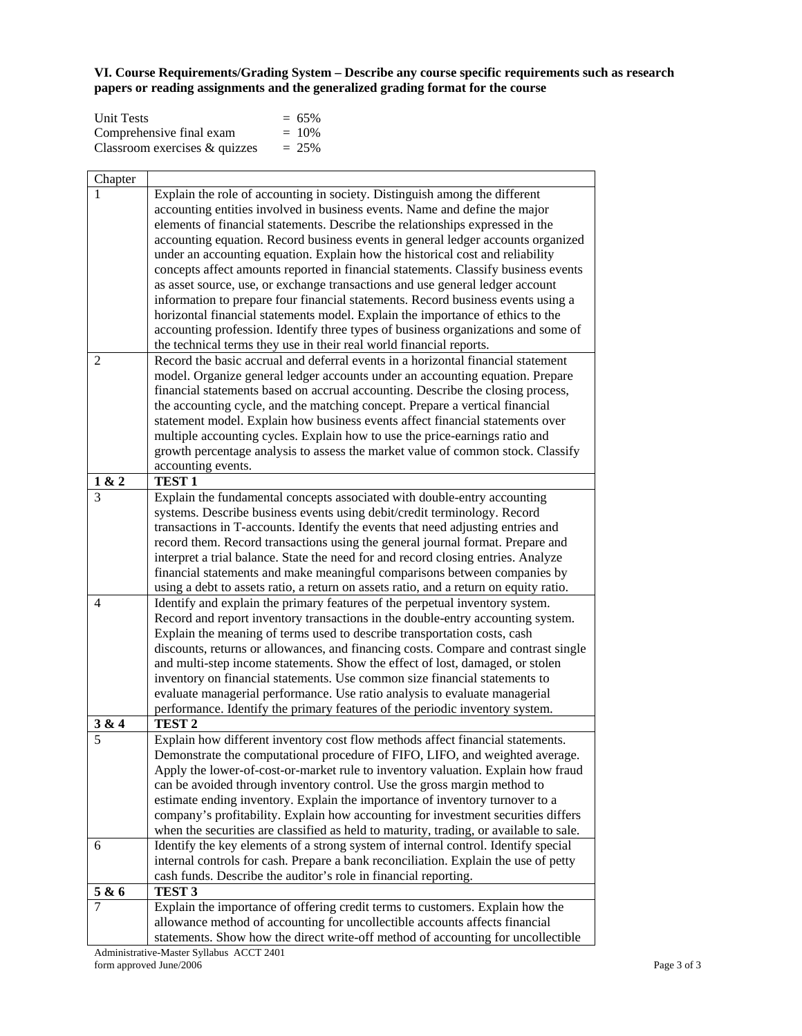**VI. Course Requirements/Grading System – Describe any course specific requirements such as research papers or reading assignments and the generalized grading format for the course**

| <b>Unit Tests</b>                | $= 65\%$ |
|----------------------------------|----------|
| Comprehensive final exam         | $= 10\%$ |
| Classroom exercises $\&$ quizzes | $= 25\%$ |

| Chapter        |                                                                                                                                                            |
|----------------|------------------------------------------------------------------------------------------------------------------------------------------------------------|
|                | Explain the role of accounting in society. Distinguish among the different                                                                                 |
|                | accounting entities involved in business events. Name and define the major                                                                                 |
|                | elements of financial statements. Describe the relationships expressed in the                                                                              |
|                | accounting equation. Record business events in general ledger accounts organized                                                                           |
|                | under an accounting equation. Explain how the historical cost and reliability                                                                              |
|                | concepts affect amounts reported in financial statements. Classify business events                                                                         |
|                | as asset source, use, or exchange transactions and use general ledger account                                                                              |
|                | information to prepare four financial statements. Record business events using a                                                                           |
|                | horizontal financial statements model. Explain the importance of ethics to the                                                                             |
|                | accounting profession. Identify three types of business organizations and some of                                                                          |
|                | the technical terms they use in their real world financial reports.                                                                                        |
| $\overline{2}$ | Record the basic accrual and deferral events in a horizontal financial statement                                                                           |
|                | model. Organize general ledger accounts under an accounting equation. Prepare                                                                              |
|                | financial statements based on accrual accounting. Describe the closing process,                                                                            |
|                | the accounting cycle, and the matching concept. Prepare a vertical financial                                                                               |
|                | statement model. Explain how business events affect financial statements over                                                                              |
|                | multiple accounting cycles. Explain how to use the price-earnings ratio and                                                                                |
|                | growth percentage analysis to assess the market value of common stock. Classify                                                                            |
|                | accounting events.                                                                                                                                         |
| 1 & 2          | TEST <sub>1</sub>                                                                                                                                          |
| 3              | Explain the fundamental concepts associated with double-entry accounting                                                                                   |
|                | systems. Describe business events using debit/credit terminology. Record                                                                                   |
|                | transactions in T-accounts. Identify the events that need adjusting entries and                                                                            |
|                | record them. Record transactions using the general journal format. Prepare and                                                                             |
|                | interpret a trial balance. State the need for and record closing entries. Analyze                                                                          |
|                | financial statements and make meaningful comparisons between companies by                                                                                  |
|                | using a debt to assets ratio, a return on assets ratio, and a return on equity ratio.                                                                      |
| 4              | Identify and explain the primary features of the perpetual inventory system.                                                                               |
|                | Record and report inventory transactions in the double-entry accounting system.                                                                            |
|                | Explain the meaning of terms used to describe transportation costs, cash                                                                                   |
|                | discounts, returns or allowances, and financing costs. Compare and contrast single                                                                         |
|                | and multi-step income statements. Show the effect of lost, damaged, or stolen                                                                              |
|                | inventory on financial statements. Use common size financial statements to                                                                                 |
|                | evaluate managerial performance. Use ratio analysis to evaluate managerial<br>performance. Identify the primary features of the periodic inventory system. |
| 3 & 4          | TEST <sub>2</sub>                                                                                                                                          |
| 5              | Explain how different inventory cost flow methods affect financial statements.                                                                             |
|                | Demonstrate the computational procedure of FIFO, LIFO, and weighted average.                                                                               |
|                | Apply the lower-of-cost-or-market rule to inventory valuation. Explain how fraud                                                                           |
|                | can be avoided through inventory control. Use the gross margin method to                                                                                   |
|                | estimate ending inventory. Explain the importance of inventory turnover to a                                                                               |
|                | company's profitability. Explain how accounting for investment securities differs                                                                          |
|                | when the securities are classified as held to maturity, trading, or available to sale.                                                                     |
| 6              | Identify the key elements of a strong system of internal control. Identify special                                                                         |
|                | internal controls for cash. Prepare a bank reconciliation. Explain the use of petty                                                                        |
|                | cash funds. Describe the auditor's role in financial reporting.                                                                                            |
| 5 & 6          | TEST <sub>3</sub>                                                                                                                                          |
|                | Explain the importance of offering credit terms to customers. Explain how the                                                                              |
|                | allowance method of accounting for uncollectible accounts affects financial                                                                                |
|                | statements. Show how the direct write-off method of accounting for uncollectible                                                                           |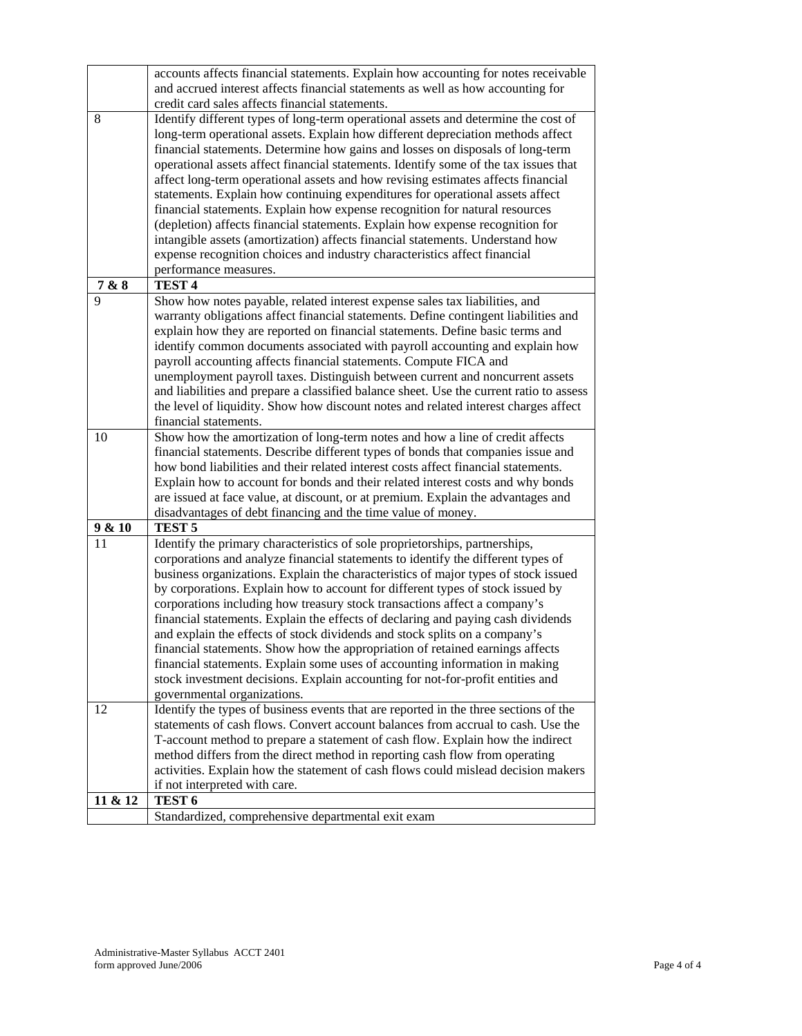|         | accounts affects financial statements. Explain how accounting for notes receivable<br>and accrued interest affects financial statements as well as how accounting for |
|---------|-----------------------------------------------------------------------------------------------------------------------------------------------------------------------|
|         | credit card sales affects financial statements.                                                                                                                       |
| 8       | Identify different types of long-term operational assets and determine the cost of                                                                                    |
|         | long-term operational assets. Explain how different depreciation methods affect                                                                                       |
|         |                                                                                                                                                                       |
|         | financial statements. Determine how gains and losses on disposals of long-term                                                                                        |
|         | operational assets affect financial statements. Identify some of the tax issues that                                                                                  |
|         | affect long-term operational assets and how revising estimates affects financial                                                                                      |
|         | statements. Explain how continuing expenditures for operational assets affect                                                                                         |
|         | financial statements. Explain how expense recognition for natural resources                                                                                           |
|         | (depletion) affects financial statements. Explain how expense recognition for                                                                                         |
|         | intangible assets (amortization) affects financial statements. Understand how                                                                                         |
|         | expense recognition choices and industry characteristics affect financial                                                                                             |
|         | performance measures.                                                                                                                                                 |
| 7 & 8   | TEST <sub>4</sub>                                                                                                                                                     |
| 9       | Show how notes payable, related interest expense sales tax liabilities, and                                                                                           |
|         | warranty obligations affect financial statements. Define contingent liabilities and                                                                                   |
|         | explain how they are reported on financial statements. Define basic terms and                                                                                         |
|         | identify common documents associated with payroll accounting and explain how                                                                                          |
|         | payroll accounting affects financial statements. Compute FICA and                                                                                                     |
|         | unemployment payroll taxes. Distinguish between current and noncurrent assets                                                                                         |
|         | and liabilities and prepare a classified balance sheet. Use the current ratio to assess                                                                               |
|         | the level of liquidity. Show how discount notes and related interest charges affect                                                                                   |
|         | financial statements.                                                                                                                                                 |
| 10      | Show how the amortization of long-term notes and how a line of credit affects                                                                                         |
|         | financial statements. Describe different types of bonds that companies issue and                                                                                      |
|         | how bond liabilities and their related interest costs affect financial statements.                                                                                    |
|         | Explain how to account for bonds and their related interest costs and why bonds                                                                                       |
|         | are issued at face value, at discount, or at premium. Explain the advantages and                                                                                      |
|         | disadvantages of debt financing and the time value of money.                                                                                                          |
| 9 & 10  | TEST <sub>5</sub>                                                                                                                                                     |
| 11      | Identify the primary characteristics of sole proprietorships, partnerships,                                                                                           |
|         | corporations and analyze financial statements to identify the different types of                                                                                      |
|         | business organizations. Explain the characteristics of major types of stock issued                                                                                    |
|         | by corporations. Explain how to account for different types of stock issued by                                                                                        |
|         | corporations including how treasury stock transactions affect a company's                                                                                             |
|         | financial statements. Explain the effects of declaring and paying cash dividends                                                                                      |
|         | and explain the effects of stock dividends and stock splits on a company's                                                                                            |
|         | financial statements. Show how the appropriation of retained earnings affects                                                                                         |
|         | financial statements. Explain some uses of accounting information in making                                                                                           |
|         | stock investment decisions. Explain accounting for not-for-profit entities and                                                                                        |
|         | governmental organizations.                                                                                                                                           |
| 12      | Identify the types of business events that are reported in the three sections of the                                                                                  |
|         | statements of cash flows. Convert account balances from accrual to cash. Use the                                                                                      |
|         | T-account method to prepare a statement of cash flow. Explain how the indirect                                                                                        |
|         | method differs from the direct method in reporting cash flow from operating                                                                                           |
|         | activities. Explain how the statement of cash flows could mislead decision makers                                                                                     |
|         | if not interpreted with care.                                                                                                                                         |
| 11 & 12 | TEST <sub>6</sub>                                                                                                                                                     |
|         | Standardized, comprehensive departmental exit exam                                                                                                                    |